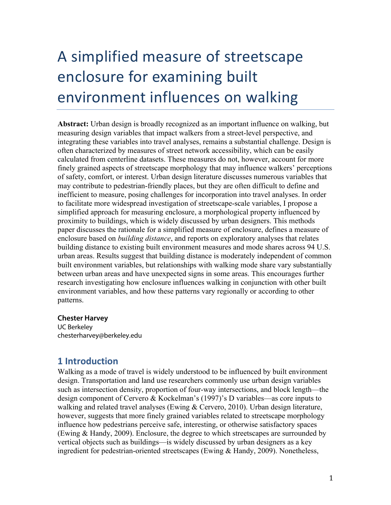# A simplified measure of streetscape enclosure for examining built environment influences on walking

**Abstract:** Urban design is broadly recognized as an important influence on walking, but measuring design variables that impact walkers from a street-level perspective, and integrating these variables into travel analyses, remains a substantial challenge. Design is often characterized by measures of street network accessibility, which can be easily calculated from centerline datasets. These measures do not, however, account for more finely grained aspects of streetscape morphology that may influence walkers' perceptions of safety, comfort, or interest. Urban design literature discusses numerous variables that may contribute to pedestrian-friendly places, but they are often difficult to define and inefficient to measure, posing challenges for incorporation into travel analyses. In order to facilitate more widespread investigation of streetscape-scale variables, I propose a simplified approach for measuring enclosure, a morphological property influenced by proximity to buildings, which is widely discussed by urban designers. This methods paper discusses the rationale for a simplified measure of enclosure, defines a measure of enclosure based on *building distance*, and reports on exploratory analyses that relates building distance to existing built environment measures and mode shares across 94 U.S. urban areas. Results suggest that building distance is moderately independent of common built environment variables, but relationships with walking mode share vary substantially between urban areas and have unexpected signs in some areas. This encourages further research investigating how enclosure influences walking in conjunction with other built environment variables, and how these patterns vary regionally or according to other patterns.

#### **Chester Harvey**

UC Berkeley chesterharvey@berkeley.edu

## **1 Introduction**

Walking as a mode of travel is widely understood to be influenced by built environment design. Transportation and land use researchers commonly use urban design variables such as intersection density, proportion of four-way intersections, and block length—the design component of Cervero & Kockelman's (1997)'s D variables—as core inputs to walking and related travel analyses (Ewing & Cervero, 2010). Urban design literature, however, suggests that more finely grained variables related to streetscape morphology influence how pedestrians perceive safe, interesting, or otherwise satisfactory spaces (Ewing & Handy, 2009). Enclosure, the degree to which streetscapes are surrounded by vertical objects such as buildings—is widely discussed by urban designers as a key ingredient for pedestrian-oriented streetscapes (Ewing & Handy, 2009). Nonetheless,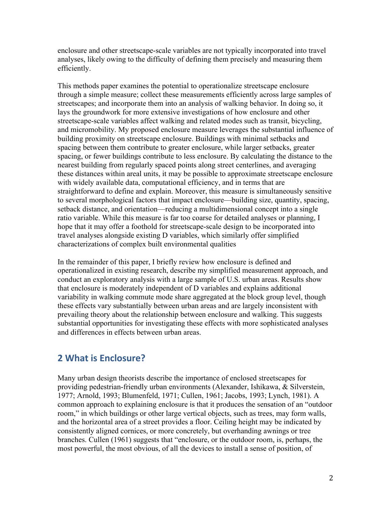enclosure and other streetscape-scale variables are not typically incorporated into travel analyses, likely owing to the difficulty of defining them precisely and measuring them efficiently.

This methods paper examines the potential to operationalize streetscape enclosure through a simple measure; collect these measurements efficiently across large samples of streetscapes; and incorporate them into an analysis of walking behavior. In doing so, it lays the groundwork for more extensive investigations of how enclosure and other streetscape-scale variables affect walking and related modes such as transit, bicycling, and micromobility. My proposed enclosure measure leverages the substantial influence of building proximity on streetscape enclosure. Buildings with minimal setbacks and spacing between them contribute to greater enclosure, while larger setbacks, greater spacing, or fewer buildings contribute to less enclosure. By calculating the distance to the nearest building from regularly spaced points along street centerlines, and averaging these distances within areal units, it may be possible to approximate streetscape enclosure with widely available data, computational efficiency, and in terms that are straightforward to define and explain. Moreover, this measure is simultaneously sensitive to several morphological factors that impact enclosure—building size, quantity, spacing, setback distance, and orientation—reducing a multidimensional concept into a single ratio variable. While this measure is far too coarse for detailed analyses or planning, I hope that it may offer a foothold for streetscape-scale design to be incorporated into travel analyses alongside existing D variables, which similarly offer simplified characterizations of complex built environmental qualities

In the remainder of this paper, I briefly review how enclosure is defined and operationalized in existing research, describe my simplified measurement approach, and conduct an exploratory analysis with a large sample of U.S. urban areas. Results show that enclosure is moderately independent of D variables and explains additional variability in walking commute mode share aggregated at the block group level, though these effects vary substantially between urban areas and are largely inconsistent with prevailing theory about the relationship between enclosure and walking. This suggests substantial opportunities for investigating these effects with more sophisticated analyses and differences in effects between urban areas.

# **2 What is Enclosure?**

Many urban design theorists describe the importance of enclosed streetscapes for providing pedestrian-friendly urban environments (Alexander, Ishikawa, & Silverstein, 1977; Arnold, 1993; Blumenfeld, 1971; Cullen, 1961; Jacobs, 1993; Lynch, 1981). A common approach to explaining enclosure is that it produces the sensation of an "outdoor room," in which buildings or other large vertical objects, such as trees, may form walls, and the horizontal area of a street provides a floor. Ceiling height may be indicated by consistently aligned cornices, or more concretely, but overhanding awnings or tree branches. Cullen (1961) suggests that "enclosure, or the outdoor room, is, perhaps, the most powerful, the most obvious, of all the devices to install a sense of position, of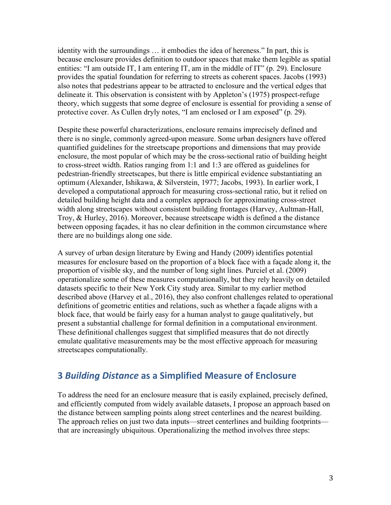identity with the surroundings … it embodies the idea of hereness." In part, this is because enclosure provides definition to outdoor spaces that make them legible as spatial entities: "I am outside IT, I am entering IT, am in the middle of IT" (p. 29). Enclosure provides the spatial foundation for referring to streets as coherent spaces. Jacobs (1993) also notes that pedestrians appear to be attracted to enclosure and the vertical edges that delineate it. This observation is consistent with by Appleton's (1975) prospect-refuge theory, which suggests that some degree of enclosure is essential for providing a sense of protective cover. As Cullen dryly notes, "I am enclosed or I am exposed" (p. 29).

Despite these powerful characterizations, enclosure remains imprecisely defined and there is no single, commonly agreed-upon measure. Some urban designers have offered quantified guidelines for the streetscape proportions and dimensions that may provide enclosure, the most popular of which may be the cross-sectional ratio of building height to cross-street width. Ratios ranging from 1:1 and 1:3 are offered as guidelines for pedestrian-friendly streetscapes, but there is little empirical evidence substantiating an optimum (Alexander, Ishikawa, & Silverstein, 1977; Jacobs, 1993). In earlier work, I developed a computational approach for measuring cross-sectional ratio, but it relied on detailed building height data and a complex appraoch for approximating cross-street width along streetscapes without consistent building frontages (Harvey, Aultman-Hall, Troy, & Hurley, 2016). Moreover, because streetscape width is defined a the distance between opposing façades, it has no clear definition in the common circumstance where there are no buildings along one side.

A survey of urban design literature by Ewing and Handy (2009) identifies potential measures for enclosure based on the proportion of a block face with a façade along it, the proportion of visible sky, and the number of long sight lines. Purciel et al. (2009) operationalize some of these measures computationally, but they rely heavily on detailed datasets specific to their New York City study area. Similar to my earlier method described above (Harvey et al., 2016), they also confront challenges related to operational definitions of geometric entities and relations, such as whether a façade aligns with a block face, that would be fairly easy for a human analyst to gauge qualitatively, but present a substantial challenge for formal definition in a computational environment. These definitional challenges suggest that simplified measures that do not directly emulate qualitative measurements may be the most effective approach for measuring streetscapes computationally.

# **3** *Building Distance* **as a Simplified Measure of Enclosure**

To address the need for an enclosure measure that is easily explained, precisely defined, and efficiently computed from widely available datasets, I propose an approach based on the distance between sampling points along street centerlines and the nearest building. The approach relies on just two data inputs—street centerlines and building footprints that are increasingly ubiquitous. Operationalizing the method involves three steps: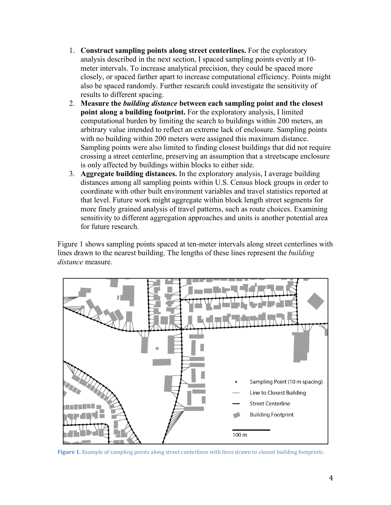- 1. **Construct sampling points along street centerlines.** For the exploratory analysis described in the next section, I spaced sampling points evenly at 10 meter intervals. To increase analytical precision, they could be spaced more closely, or spaced farther apart to increase computational efficiency. Points might also be spaced randomly. Further research could investigate the sensitivity of results to different spacing.
- 2. **Measure the** *building distance* **between each sampling point and the closest point along a building footprint.** For the exploratory analysis, I limited computational burden by limiting the search to buildings within 200 meters, an arbitrary value intended to reflect an extreme lack of enclosure. Sampling points with no building within 200 meters were assigned this maximum distance. Sampling points were also limited to finding closest buildings that did not require crossing a street centerline, preserving an assumption that a streetscape enclosure is only affected by buildings within blocks to either side.
- 3. **Aggregate building distances.** In the exploratory analysis, I average building distances among all sampling points within U.S. Census block groups in order to coordinate with other built environment variables and travel statistics reported at that level. Future work might aggregate within block length street segments for more finely grained analysis of travel patterns, such as route choices. Examining sensitivity to different aggregation approaches and units is another potential area for future research.

Figure 1 shows sampling points spaced at ten-meter intervals along street centerlines with lines drawn to the nearest building. The lengths of these lines represent the *building distance* measure.



Figure 1. Example of sampling points along street centerlines with lines drawn to closest building footprints.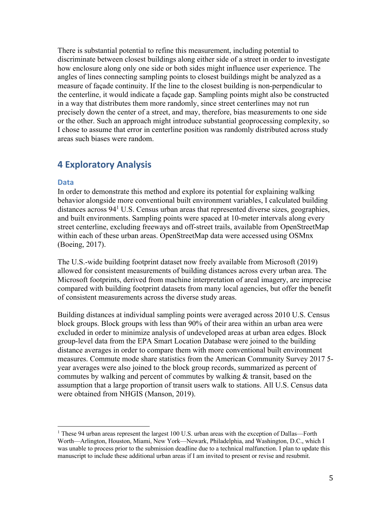There is substantial potential to refine this measurement, including potential to discriminate between closest buildings along either side of a street in order to investigate how enclosure along only one side or both sides might influence user experience. The angles of lines connecting sampling points to closest buildings might be analyzed as a measure of façade continuity. If the line to the closest building is non-perpendicular to the centerline, it would indicate a façade gap. Sampling points might also be constructed in a way that distributes them more randomly, since street centerlines may not run precisely down the center of a street, and may, therefore, bias measurements to one side or the other. Such an approach might introduce substantial geoprocessing complexity, so I chose to assume that error in centerline position was randomly distributed across study areas such biases were random.

## **4 Exploratory Analysis**

#### **Data**

In order to demonstrate this method and explore its potential for explaining walking behavior alongside more conventional built environment variables, I calculated building distances across 941 U.S. Census urban areas that represented diverse sizes, geographies, and built environments. Sampling points were spaced at 10-meter intervals along every street centerline, excluding freeways and off-street trails, available from OpenStreetMap within each of these urban areas. OpenStreetMap data were accessed using OSMnx (Boeing, 2017).

The U.S.-wide building footprint dataset now freely available from Microsoft (2019) allowed for consistent measurements of building distances across every urban area. The Microsoft footprints, derived from machine interpretation of areal imagery, are imprecise compared with building footprint datasets from many local agencies, but offer the benefit of consistent measurements across the diverse study areas.

Building distances at individual sampling points were averaged across 2010 U.S. Census block groups. Block groups with less than 90% of their area within an urban area were excluded in order to minimize analysis of undeveloped areas at urban area edges. Block group-level data from the EPA Smart Location Database were joined to the building distance averages in order to compare them with more conventional built environment measures. Commute mode share statistics from the American Community Survey 2017 5 year averages were also joined to the block group records, summarized as percent of commutes by walking and percent of commutes by walking & transit, based on the assumption that a large proportion of transit users walk to stations. All U.S. Census data were obtained from NHGIS (Manson, 2019).

<sup>&</sup>lt;sup>1</sup> These 94 urban areas represent the largest 100 U.S. urban areas with the exception of Dallas—Forth Worth—Arlington, Houston, Miami, New York—Newark, Philadelphia, and Washington, D.C., which I was unable to process prior to the submission deadline due to a technical malfunction. I plan to update this manuscript to include these additional urban areas if I am invited to present or revise and resubmit.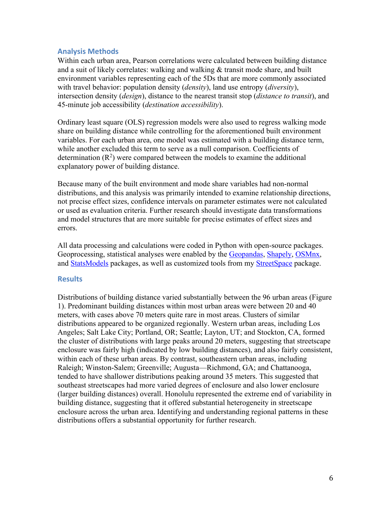## **Analysis Methods**

Within each urban area, Pearson correlations were calculated between building distance and a suit of likely correlates: walking and walking  $\&$  transit mode share, and built environment variables representing each of the 5Ds that are more commonly associated with travel behavior: population density (*density*), land use entropy (*diversity*), intersection density (*design*), distance to the nearest transit stop (*distance to transit*), and 45-minute job accessibility (*destination accessibility*).

Ordinary least square (OLS) regression models were also used to regress walking mode share on building distance while controlling for the aforementioned built environment variables. For each urban area, one model was estimated with a building distance term, while another excluded this term to serve as a null comparison. Coefficients of determination  $(R^2)$  were compared between the models to examine the additional explanatory power of building distance.

Because many of the built environment and mode share variables had non-normal distributions, and this analysis was primarily intended to examine relationship directions, not precise effect sizes, confidence intervals on parameter estimates were not calculated or used as evaluation criteria. Further research should investigate data transformations and model structures that are more suitable for precise estimates of effect sizes and errors.

All data processing and calculations were coded in Python with open-source packages. Geoprocessing, statistical analyses were enabled by the Geopandas, Shapely, OSMnx, and StatsModels packages, as well as customized tools from my StreetSpace package.

## **Results**

Distributions of building distance varied substantially between the 96 urban areas (Figure 1). Predominant building distances within most urban areas were between 20 and 40 meters, with cases above 70 meters quite rare in most areas. Clusters of similar distributions appeared to be organized regionally. Western urban areas, including Los Angeles; Salt Lake City; Portland, OR; Seattle; Layton, UT; and Stockton, CA, formed the cluster of distributions with large peaks around 20 meters, suggesting that streetscape enclosure was fairly high (indicated by low building distances), and also fairly consistent, within each of these urban areas. By contrast, southeastern urban areas, including Raleigh; Winston-Salem; Greenville; Augusta—Richmond, GA; and Chattanooga, tended to have shallower distributions peaking around 35 meters. This suggested that southeast streetscapes had more varied degrees of enclosure and also lower enclosure (larger building distances) overall. Honolulu represented the extreme end of variability in building distance, suggesting that it offered substantial heterogeneity in streetscape enclosure across the urban area. Identifying and understanding regional patterns in these distributions offers a substantial opportunity for further research.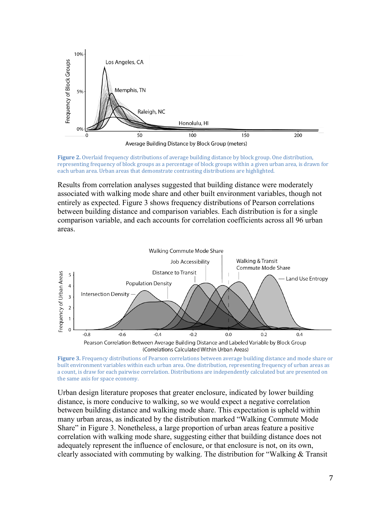

Figure 2. Overlaid frequency distributions of average building distance by block group. One distribution, representing frequency of block groups as a percentage of block groups within a given urban area, is drawn for each urban area. Urban areas that demonstrate contrasting distributions are highlighted.

Results from correlation analyses suggested that building distance were moderately associated with walking mode share and other built environment variables, though not entirely as expected. Figure 3 shows frequency distributions of Pearson correlations between building distance and comparison variables. Each distribution is for a single comparison variable, and each accounts for correlation coefficients across all 96 urban areas.



(Correlations Calculated Within Urban Areas)

Urban design literature proposes that greater enclosure, indicated by lower building distance, is more conducive to walking, so we would expect a negative correlation between building distance and walking mode share. This expectation is upheld within many urban areas, as indicated by the distribution marked "Walking Commute Mode Share" in Figure 3. Nonetheless, a large proportion of urban areas feature a positive correlation with walking mode share, suggesting either that building distance does not adequately represent the influence of enclosure, or that enclosure is not, on its own, clearly associated with commuting by walking. The distribution for "Walking & Transit

**Figure 3.** Frequency distributions of Pearson correlations between average building distance and mode share or built environment variables within each urban area. One distribution, representing frequency of urban areas as a count, is draw for each pairwise correlation. Distributions are independently calculated but are presented on the same axis for space economy.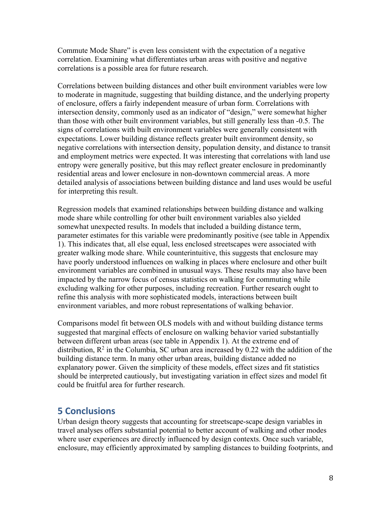Commute Mode Share" is even less consistent with the expectation of a negative correlation. Examining what differentiates urban areas with positive and negative correlations is a possible area for future research.

Correlations between building distances and other built environment variables were low to moderate in magnitude, suggesting that building distance, and the underlying property of enclosure, offers a fairly independent measure of urban form. Correlations with intersection density, commonly used as an indicator of "design," were somewhat higher than those with other built environment variables, but still generally less than -0.5. The signs of correlations with built environment variables were generally consistent with expectations. Lower building distance reflects greater built environment density, so negative correlations with intersection density, population density, and distance to transit and employment metrics were expected. It was interesting that correlations with land use entropy were generally positive, but this may reflect greater enclosure in predominantly residential areas and lower enclosure in non-downtown commercial areas. A more detailed analysis of associations between building distance and land uses would be useful for interpreting this result.

Regression models that examined relationships between building distance and walking mode share while controlling for other built environment variables also yielded somewhat unexpected results. In models that included a building distance term, parameter estimates for this variable were predominantly positive (see table in Appendix 1). This indicates that, all else equal, less enclosed streetscapes were associated with greater walking mode share. While counterintuitive, this suggests that enclosure may have poorly understood influences on walking in places where enclosure and other built environment variables are combined in unusual ways. These results may also have been impacted by the narrow focus of census statistics on walking for commuting while excluding walking for other purposes, including recreation. Further research ought to refine this analysis with more sophisticated models, interactions between built environment variables, and more robust representations of walking behavior.

Comparisons model fit between OLS models with and without building distance terms suggested that marginal effects of enclosure on walking behavior varied substantially between different urban areas (see table in Appendix 1). At the extreme end of distribution,  $\mathbb{R}^2$  in the Columbia, SC urban area increased by 0.22 with the addition of the building distance term. In many other urban areas, building distance added no explanatory power. Given the simplicity of these models, effect sizes and fit statistics should be interpreted cautiously, but investigating variation in effect sizes and model fit could be fruitful area for further research.

## **5 Conclusions**

Urban design theory suggests that accounting for streetscape-scape design variables in travel analyses offers substantial potential to better account of walking and other modes where user experiences are directly influenced by design contexts. Once such variable, enclosure, may efficiently approximated by sampling distances to building footprints, and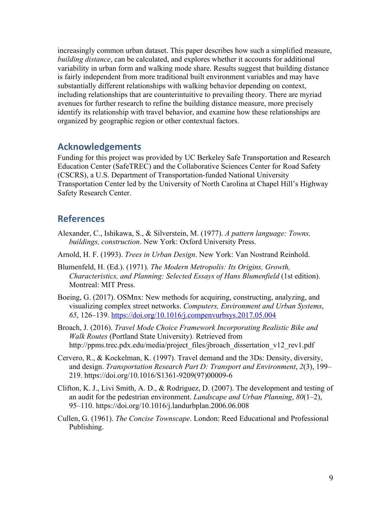increasingly common urban dataset. This paper describes how such a simplified measure, *building distance*, can be calculated, and explores whether it accounts for additional variability in urban form and walking mode share. Results suggest that building distance is fairly independent from more traditional built environment variables and may have substantially different relationships with walking behavior depending on context, including relationships that are counterintuitive to prevailing theory. There are myriad avenues for further research to refine the building distance measure, more precisely identify its relationship with travel behavior, and examine how these relationships are organized by geographic region or other contextual factors.

## **Acknowledgements**

Funding for this project was provided by UC Berkeley Safe Transportation and Research Education Center (SafeTREC) and the Collaborative Sciences Center for Road Safety (CSCRS), a U.S. Department of Transportation-funded National University Transportation Center led by the University of North Carolina at Chapel Hill's Highway Safety Research Center.

## **References**

- Alexander, C., Ishikawa, S., & Silverstein, M. (1977). *A pattern language: Towns, buildings, construction*. New York: Oxford University Press.
- Arnold, H. F. (1993). *Trees in Urban Design*. New York: Van Nostrand Reinhold.
- Blumenfeld, H. (Ed.). (1971). *The Modern Metropolis: Its Origins, Growth, Characteristics, and Planning: Selected Essays of Hans Blumenfield* (1st edition). Montreal: MIT Press.
- Boeing, G. (2017). OSMnx: New methods for acquiring, constructing, analyzing, and visualizing complex street networks. *Computers, Environment and Urban Systems*, *65*, 126–139. https://doi.org/10.1016/j.compenvurbsys.2017.05.004
- Broach, J. (2016). *Travel Mode Choice Framework Incorporating Realistic Bike and Walk Routes* (Portland State University). Retrieved from http://ppms.trec.pdx.edu/media/project\_files/jbroach\_dissertation\_v12\_rev1.pdf
- Cervero, R., & Kockelman, K. (1997). Travel demand and the 3Ds: Density, diversity, and design. *Transportation Research Part D: Transport and Environment*, *2*(3), 199– 219. https://doi.org/10.1016/S1361-9209(97)00009-6
- Clifton, K. J., Livi Smith, A. D., & Rodriguez, D. (2007). The development and testing of an audit for the pedestrian environment. *Landscape and Urban Planning*, *80*(1–2), 95–110. https://doi.org/10.1016/j.landurbplan.2006.06.008
- Cullen, G. (1961). *The Concise Townscape*. London: Reed Educational and Professional Publishing.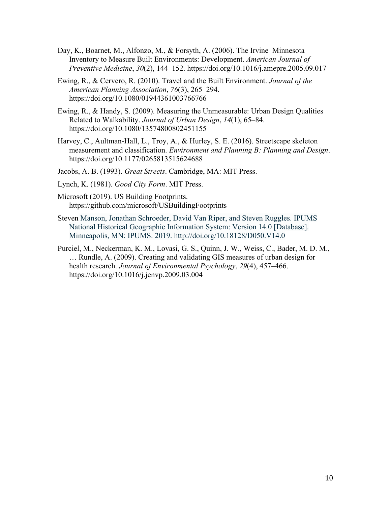- Day, K., Boarnet, M., Alfonzo, M., & Forsyth, A. (2006). The Irvine–Minnesota Inventory to Measure Built Environments: Development. *American Journal of Preventive Medicine*, *30*(2), 144–152. https://doi.org/10.1016/j.amepre.2005.09.017
- Ewing, R., & Cervero, R. (2010). Travel and the Built Environment. *Journal of the American Planning Association*, *76*(3), 265–294. https://doi.org/10.1080/01944361003766766
- Ewing, R., & Handy, S. (2009). Measuring the Unmeasurable: Urban Design Qualities Related to Walkability. *Journal of Urban Design*, *14*(1), 65–84. https://doi.org/10.1080/13574800802451155
- Harvey, C., Aultman-Hall, L., Troy, A., & Hurley, S. E. (2016). Streetscape skeleton measurement and classification. *Environment and Planning B: Planning and Design*. https://doi.org/10.1177/0265813515624688

Jacobs, A. B. (1993). *Great Streets*. Cambridge, MA: MIT Press.

- Lynch, K. (1981). *Good City Form*. MIT Press.
- Microsoft (2019). US Building Footprints. https://github.com/microsoft/USBuildingFootprints
- Steven Manson, Jonathan Schroeder, David Van Riper, and Steven Ruggles. IPUMS National Historical Geographic Information System: Version 14.0 [Database]. Minneapolis, MN: IPUMS. 2019. http://doi.org/10.18128/D050.V14.0
- Purciel, M., Neckerman, K. M., Lovasi, G. S., Quinn, J. W., Weiss, C., Bader, M. D. M., … Rundle, A. (2009). Creating and validating GIS measures of urban design for health research. *Journal of Environmental Psychology*, *29*(4), 457–466. https://doi.org/10.1016/j.jenvp.2009.03.004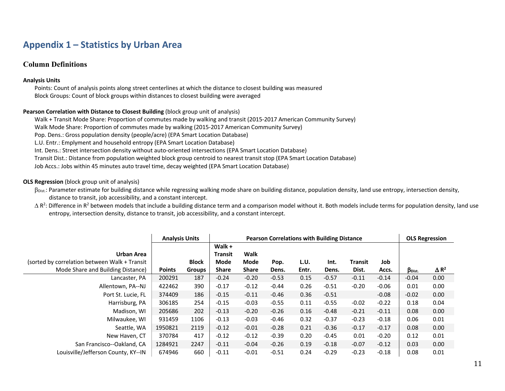# **Appendix 1 – Statistics by Urban Area**

## **Column Definitions**

#### **Analysis Units**

Points: Count of analysis points along street centerlines at which the distance to closest building was measured Block Groups: Count of block groups within distances to closest building were averaged

#### **Pearson Correlation with Distance to Closest Building** (block group unit of analysis)

Walk + Transit Mode Share: Proportion of commutes made by walking and transit (2015-2017 American Community Survey) Walk Mode Share: Proportion of commutes made by walking (2015-2017 American Community Survey) Pop. Dens.: Gross population density (people/acre) (EPA Smart Location Database) L.U. Entr.: Emplyment and household entropy (EPA Smart Location Database) Int. Dens.: Street intersection density without auto-oriented intersections (EPA Smart Location Database) Transit Dist.: Distance from population weighted block group centroid to nearest transit stop (EPA Smart Location Database) Job Accs.: Jobs within 45 minutes auto travel time, decay weighted (EPA Smart Location Database)

#### **OLS Regression** (block group unit of analysis)

- $\beta_{\text{Dist}}$ : Parameter estimate for building distance while regressing walking mode share on building distance, population density, land use entropy, intersection density, distance to transit, job accessibility, and a constant intercept.
- $\Delta$  R<sup>2</sup>: Difference in R<sup>2</sup> between models that include a building distance term and a comparison model without it. Both models include terms for population density, land use entropy, intersection density, distance to transit, job accessibility, and a constant intercept.

|                                                | <b>Analysis Units</b> |               | <b>Pearson Correlations with Building Distance</b> |              |         |       |         |         |         |                        | <b>OLS Regression</b>   |  |  |
|------------------------------------------------|-----------------------|---------------|----------------------------------------------------|--------------|---------|-------|---------|---------|---------|------------------------|-------------------------|--|--|
|                                                |                       |               | Walk +                                             |              |         |       |         |         |         |                        |                         |  |  |
| Urban Area                                     |                       |               | <b>Transit</b>                                     | Walk         |         |       |         |         |         |                        |                         |  |  |
| (sorted by correlation between Walk + Transit) |                       | <b>Block</b>  | Mode                                               | Mode         | Pop.    | L.U.  | Int.    | Transit | Job     |                        |                         |  |  |
| Mode Share and Building Distance)              | <b>Points</b>         | <b>Groups</b> | <b>Share</b>                                       | <b>Share</b> | Dens.   | Entr. | Dens.   | Dist.   | Accs.   | $\beta_{\text{Dist.}}$ | $\Delta$ R <sup>2</sup> |  |  |
| Lancaster, PA                                  | 200291                | 187           | $-0.24$                                            | $-0.20$      | $-0.53$ | 0.15  | $-0.57$ | $-0.11$ | $-0.14$ | $-0.04$                | 0.00                    |  |  |
| Allentown, PA--NJ                              | 422462                | 390           | $-0.17$                                            | $-0.12$      | $-0.44$ | 0.26  | $-0.51$ | $-0.20$ | $-0.06$ | 0.01                   | 0.00                    |  |  |
| Port St. Lucie, FL                             | 374409                | 186           | $-0.15$                                            | $-0.11$      | $-0.46$ | 0.36  | $-0.51$ |         | $-0.08$ | $-0.02$                | 0.00                    |  |  |
| Harrisburg, PA                                 | 306185                | 254           | $-0.15$                                            | $-0.03$      | $-0.55$ | 0.11  | $-0.55$ | $-0.02$ | $-0.22$ | 0.18                   | 0.04                    |  |  |
| Madison, WI                                    | 205686                | 202           | $-0.13$                                            | $-0.20$      | $-0.26$ | 0.16  | $-0.48$ | $-0.21$ | $-0.11$ | 0.08                   | 0.00                    |  |  |
| Milwaukee, WI                                  | 931459                | 1106          | $-0.13$                                            | $-0.03$      | $-0.46$ | 0.32  | $-0.37$ | $-0.23$ | $-0.18$ | 0.06                   | 0.01                    |  |  |
| Seattle, WA                                    | 1950821               | 2119          | $-0.12$                                            | $-0.01$      | $-0.28$ | 0.21  | $-0.36$ | $-0.17$ | $-0.17$ | 0.08                   | 0.00                    |  |  |
| New Haven, CT                                  | 370784                | 417           | $-0.12$                                            | $-0.12$      | $-0.39$ | 0.20  | $-0.45$ | 0.01    | $-0.20$ | 0.12                   | 0.01                    |  |  |
| San Francisco--Oakland, CA                     | 1284921               | 2247          | $-0.11$                                            | $-0.04$      | $-0.26$ | 0.19  | $-0.18$ | $-0.07$ | $-0.12$ | 0.03                   | 0.00                    |  |  |
| Louisville/Jefferson County, KY--IN            | 674946                | 660           | $-0.11$                                            | $-0.01$      | $-0.51$ | 0.24  | $-0.29$ | $-0.23$ | $-0.18$ | 0.08                   | 0.01                    |  |  |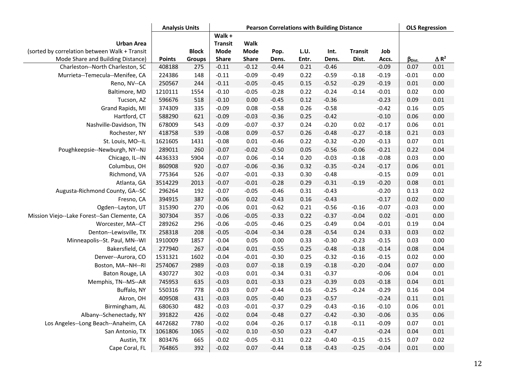|                                               | <b>Analysis Units</b> |              | <b>Pearson Correlations with Building Distance</b> |              |         |       |         |                |         | <b>OLS Regression</b> |                 |
|-----------------------------------------------|-----------------------|--------------|----------------------------------------------------|--------------|---------|-------|---------|----------------|---------|-----------------------|-----------------|
|                                               |                       |              | Walk +                                             |              |         |       |         |                |         |                       |                 |
| <b>Urban Area</b>                             |                       |              | <b>Transit</b>                                     | Walk         |         |       |         |                |         |                       |                 |
| (sorted by correlation between Walk + Transit |                       | <b>Block</b> | <b>Mode</b>                                        | <b>Mode</b>  | Pop.    | L.U.  | Int.    | <b>Transit</b> | Job     |                       |                 |
| Mode Share and Building Distance)             | <b>Points</b>         | Groups       | <b>Share</b>                                       | <b>Share</b> | Dens.   | Entr. | Dens.   | Dist.          | Accs.   | $\beta_{Dist.}$       | $\triangle R^2$ |
| Charleston--North Charleston, SC              | 408188                | 275          | $-0.11$                                            | $-0.12$      | $-0.44$ | 0.21  | $-0.46$ |                | $-0.09$ | 0.07                  | 0.01            |
| Murrieta--Temecula--Menifee, CA               | 224386                | 148          | $-0.11$                                            | $-0.09$      | $-0.49$ | 0.22  | $-0.59$ | $-0.18$        | $-0.19$ | $-0.01$               | 0.00            |
| Reno, NV--CA                                  | 250567                | 244          | $-0.11$                                            | $-0.05$      | $-0.45$ | 0.15  | $-0.52$ | $-0.29$        | $-0.19$ | 0.01                  | 0.00            |
| Baltimore, MD                                 | 1210111               | 1554         | $-0.10$                                            | $-0.05$      | $-0.28$ | 0.22  | $-0.24$ | $-0.14$        | $-0.01$ | 0.02                  | 0.00            |
| Tucson, AZ                                    | 596676                | 518          | $-0.10$                                            | 0.00         | $-0.45$ | 0.12  | $-0.36$ |                | $-0.23$ | 0.09                  | 0.01            |
| Grand Rapids, MI                              | 374309                | 335          | $-0.09$                                            | 0.08         | $-0.58$ | 0.26  | $-0.58$ |                | $-0.42$ | 0.16                  | 0.05            |
| Hartford, CT                                  | 588290                | 621          | $-0.09$                                            | $-0.03$      | $-0.36$ | 0.25  | $-0.42$ |                | $-0.10$ | 0.06                  | 0.00            |
| Nashville-Davidson, TN                        | 678009                | 543          | $-0.09$                                            | $-0.07$      | $-0.37$ | 0.24  | $-0.20$ | 0.02           | $-0.17$ | 0.06                  | 0.01            |
| Rochester, NY                                 | 418758                | 539          | $-0.08$                                            | 0.09         | $-0.57$ | 0.26  | $-0.48$ | $-0.27$        | $-0.18$ | 0.21                  | 0.03            |
| St. Louis, MO--IL                             | 1621605               | 1431         | $-0.08$                                            | 0.01         | $-0.46$ | 0.22  | $-0.32$ | $-0.20$        | $-0.13$ | 0.07                  | 0.01            |
| Poughkeepsie--Newburgh, NY--NJ                | 289011                | 260          | $-0.07$                                            | $-0.02$      | $-0.50$ | 0.05  | $-0.56$ | $-0.06$        | $-0.21$ | 0.22                  | 0.04            |
| Chicago, IL--IN                               | 4436333               | 5904         | $-0.07$                                            | 0.06         | $-0.14$ | 0.20  | $-0.03$ | $-0.18$        | $-0.08$ | 0.03                  | 0.00            |
| Columbus, OH                                  | 860908                | 920          | $-0.07$                                            | $-0.06$      | $-0.36$ | 0.32  | $-0.35$ | $-0.24$        | $-0.17$ | 0.06                  | 0.01            |
| Richmond, VA                                  | 775364                | 526          | $-0.07$                                            | $-0.01$      | $-0.33$ | 0.30  | $-0.48$ |                | $-0.15$ | 0.09                  | 0.01            |
| Atlanta, GA                                   | 3514229               | 2013         | $-0.07$                                            | $-0.01$      | $-0.28$ | 0.29  | $-0.31$ | $-0.19$        | $-0.20$ | 0.08                  | 0.01            |
| Augusta-Richmond County, GA--SC               | 296264                | 192          | $-0.07$                                            | $-0.05$      | $-0.46$ | 0.31  | $-0.43$ |                | $-0.20$ | 0.13                  | 0.02            |
| Fresno, CA                                    | 394915                | 387          | $-0.06$                                            | 0.02         | $-0.43$ | 0.16  | $-0.43$ |                | $-0.17$ | 0.02                  | 0.00            |
| Ogden--Layton, UT                             | 315390                | 270          | $-0.06$                                            | 0.01         | $-0.62$ | 0.21  | $-0.56$ | $-0.16$        | $-0.07$ | $-0.03$               | 0.00            |
| Mission Viejo--Lake Forest--San Clemente, CA  | 307304                | 357          | $-0.06$                                            | $-0.05$      | $-0.33$ | 0.22  | $-0.37$ | $-0.04$        | 0.02    | $-0.01$               | 0.00            |
| Worcester, MA--CT                             | 289262                | 296          | $-0.06$                                            | $-0.05$      | $-0.46$ | 0.25  | $-0.49$ | 0.04           | $-0.01$ | 0.19                  | 0.04            |
| Denton--Lewisville, TX                        | 258318                | 208          | $-0.05$                                            | $-0.04$      | $-0.34$ | 0.28  | $-0.54$ | 0.24           | 0.33    | 0.03                  | 0.02            |
| Minneapolis--St. Paul, MN--WI                 | 1910009               | 1857         | $-0.04$                                            | 0.05         | 0.00    | 0.33  | $-0.30$ | $-0.23$        | $-0.15$ | 0.03                  | 0.00            |
| Bakersfield, CA                               | 277940                | 267          | $-0.04$                                            | 0.01         | $-0.55$ | 0.25  | $-0.48$ | $-0.18$        | $-0.14$ | 0.08                  | 0.04            |
| Denver--Aurora, CO                            | 1531321               | 1602         | $-0.04$                                            | $-0.01$      | $-0.30$ | 0.25  | $-0.32$ | $-0.16$        | $-0.15$ | 0.02                  | 0.00            |
| Boston, MA--NH--RI                            | 2574067               | 2989         | $-0.03$                                            | 0.07         | $-0.18$ | 0.19  | $-0.18$ | $-0.20$        | $-0.04$ | 0.07                  | 0.00            |
| Baton Rouge, LA                               | 430727                | 302          | $-0.03$                                            | 0.01         | $-0.34$ | 0.31  | $-0.37$ |                | $-0.06$ | 0.04                  | 0.01            |
| Memphis, TN--MS--AR                           | 745953                | 635          | $-0.03$                                            | 0.01         | $-0.33$ | 0.23  | $-0.39$ | 0.03           | $-0.18$ | 0.04                  | 0.01            |
| Buffalo, NY                                   | 550316                | 778          | $-0.03$                                            | 0.07         | $-0.44$ | 0.16  | $-0.25$ | $-0.24$        | $-0.29$ | 0.16                  | 0.04            |
| Akron, OH                                     | 409508                | 431          | $-0.03$                                            | 0.05         | $-0.40$ | 0.23  | $-0.57$ |                | $-0.24$ | 0.11                  | 0.01            |
| Birmingham, AL                                | 680630                | 482          | $-0.03$                                            | $-0.01$      | $-0.37$ | 0.29  | $-0.43$ | $-0.16$        | $-0.10$ | 0.06                  | 0.01            |
| Albany--Schenectady, NY                       | 391822                | 426          | $-0.02$                                            | 0.04         | $-0.48$ | 0.27  | $-0.42$ | $-0.30$        | $-0.06$ | 0.35                  | 0.06            |
| Los Angeles--Long Beach--Anaheim, CA          | 4472682               | 7780         | $-0.02$                                            | 0.04         | $-0.26$ | 0.17  | $-0.18$ | $-0.11$        | $-0.09$ | 0.07                  | 0.01            |
| San Antonio, TX                               | 1061806               | 1065         | $-0.02$                                            | 0.10         | $-0.50$ | 0.23  | $-0.47$ |                | $-0.24$ | 0.04                  | 0.01            |
|                                               |                       |              |                                                    |              |         |       |         |                |         | 0.07                  |                 |
| Cape Coral, FL                                | 764865                | 392          | $-0.02$                                            | 0.07         | $-0.44$ | 0.18  | $-0.43$ | $-0.25$        | $-0.04$ | 0.01                  | 0.00            |
| Austin, TX                                    | 803476                | 665          | $-0.02$                                            | $-0.05$      | $-0.31$ | 0.22  | $-0.40$ | $-0.15$        | $-0.15$ |                       | 0.02            |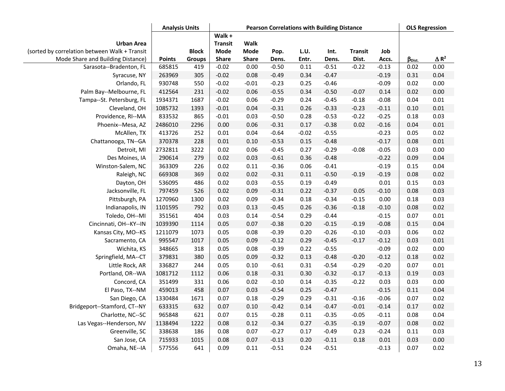|                                                                    | <b>Analysis Units</b> |              | <b>Pearson Correlations with Building Distance</b> |                     |         |         |         |                |         |                 | <b>OLS Regression</b>   |  |
|--------------------------------------------------------------------|-----------------------|--------------|----------------------------------------------------|---------------------|---------|---------|---------|----------------|---------|-----------------|-------------------------|--|
| <b>Urban Area</b><br>(sorted by correlation between Walk + Transit |                       | <b>Block</b> | Walk +<br><b>Transit</b><br><b>Mode</b>            | Walk<br><b>Mode</b> | Pop.    | L.U.    | Int.    | <b>Transit</b> | Job     |                 |                         |  |
| Mode Share and Building Distance)                                  | <b>Points</b>         | Groups       | Share                                              | Share               | Dens.   | Entr.   | Dens.   | Dist.          | Accs.   | $\beta_{Dist.}$ | $\Delta$ R <sup>2</sup> |  |
| Sarasota--Bradenton, FL                                            | 685815                | 419          | $-0.02$                                            | 0.00                | $-0.50$ | 0.11    | $-0.51$ | $-0.22$        | $-0.13$ | 0.02            | 0.00                    |  |
| Syracuse, NY                                                       | 263969                | 305          | $-0.02$                                            | 0.08                | $-0.49$ | 0.34    | $-0.47$ |                | $-0.19$ | 0.31            | 0.04                    |  |
| Orlando, FL                                                        | 930748                | 550          | $-0.02$                                            | $-0.01$             | $-0.23$ | 0.25    | $-0.46$ |                | $-0.09$ | 0.02            | 0.00                    |  |
| Palm Bay--Melbourne, FL                                            | 412564                | 231          | $-0.02$                                            | 0.06                | $-0.55$ | 0.34    | $-0.50$ | $-0.07$        | 0.14    | 0.02            | 0.00                    |  |
| Tampa--St. Petersburg, FL                                          | 1934371               | 1687         | $-0.02$                                            | 0.06                | $-0.29$ | 0.24    | $-0.45$ | $-0.18$        | $-0.08$ | 0.04            | 0.01                    |  |
| Cleveland, OH                                                      | 1085732               | 1393         | $-0.01$                                            | 0.04                | $-0.31$ | 0.26    | $-0.33$ | $-0.23$        | $-0.11$ | 0.10            | 0.01                    |  |
| Providence, RI--MA                                                 | 833532                | 865          | $-0.01$                                            | 0.03                | $-0.50$ | 0.28    | $-0.53$ | $-0.22$        | $-0.25$ | 0.18            | 0.03                    |  |
| Phoenix--Mesa, AZ                                                  | 2486010               | 2296         | 0.00                                               | 0.06                | $-0.31$ | 0.17    | $-0.38$ | 0.02           | $-0.16$ | 0.04            | 0.01                    |  |
| McAllen, TX                                                        | 413726                | 252          | $0.01\,$                                           | 0.04                | $-0.64$ | $-0.02$ | $-0.55$ |                | $-0.23$ | 0.05            | 0.02                    |  |
| Chattanooga, TN--GA                                                | 370378                | 228          | 0.01                                               | 0.10                | $-0.53$ | 0.15    | $-0.48$ |                | $-0.17$ | 0.08            | 0.01                    |  |
| Detroit, MI                                                        | 2732811               | 3222         | 0.02                                               | 0.06                | $-0.45$ | 0.27    | $-0.29$ | $-0.08$        | $-0.05$ | 0.03            | 0.00                    |  |
| Des Moines, IA                                                     | 290614                | 279          | 0.02                                               | 0.03                | $-0.61$ | 0.36    | $-0.48$ |                | $-0.22$ | 0.09            | 0.04                    |  |
| Winston-Salem, NC                                                  | 363309                | 226          | 0.02                                               | 0.11                | $-0.36$ | 0.06    | $-0.41$ |                | $-0.19$ | 0.15            | 0.04                    |  |
| Raleigh, NC                                                        | 669308                | 369          | 0.02                                               | 0.02                | $-0.31$ | 0.11    | $-0.50$ | $-0.19$        | $-0.19$ | 0.08            | 0.02                    |  |
| Dayton, OH                                                         | 536095                | 486          | 0.02                                               | 0.03                | $-0.55$ | 0.19    | $-0.49$ |                | 0.01    | 0.15            | 0.03                    |  |
| Jacksonville, FL                                                   | 797459                | 526          | 0.02                                               | 0.09                | $-0.31$ | 0.22    | $-0.37$ | 0.05           | $-0.10$ | 0.08            | 0.03                    |  |
| Pittsburgh, PA                                                     | 1270960               | 1300         | 0.02                                               | 0.09                | $-0.34$ | 0.18    | $-0.34$ | $-0.15$        | 0.00    | 0.18            | 0.03                    |  |
| Indianapolis, IN                                                   | 1101595               | 792          | 0.03                                               | 0.13                | $-0.45$ | 0.26    | $-0.36$ | $-0.18$        | $-0.10$ | 0.08            | 0.02                    |  |
| Toledo, OH--MI                                                     | 351561                | 404          | 0.03                                               | 0.14                | $-0.54$ | 0.29    | $-0.44$ |                | $-0.15$ | 0.07            | 0.01                    |  |
| Cincinnati, OH--KY--IN                                             | 1039390               | 1114         | 0.05                                               | 0.07                | $-0.38$ | 0.20    | $-0.15$ | $-0.19$        | $-0.08$ | 0.15            | 0.04                    |  |
| Kansas City, MO--KS                                                | 1211079               | 1073         | 0.05                                               | 0.08                | $-0.39$ | 0.20    | $-0.26$ | $-0.10$        | $-0.03$ | 0.06            | 0.02                    |  |
| Sacramento, CA                                                     | 995547                | 1017         | 0.05                                               | 0.09                | $-0.12$ | 0.29    | $-0.45$ | $-0.17$        | $-0.12$ | 0.03            | 0.01                    |  |
| Wichita, KS                                                        | 348665                | 318          | 0.05                                               | 0.08                | $-0.39$ | 0.22    | $-0.55$ |                | $-0.09$ | 0.02            | 0.00                    |  |
| Springfield, MA--CT                                                | 379831                | 380          | 0.05                                               | 0.09                | $-0.32$ | 0.13    | $-0.48$ | $-0.20$        | $-0.12$ | 0.18            | 0.02                    |  |
| Little Rock, AR                                                    | 336827                | 244          | 0.05                                               | 0.10                | $-0.61$ | 0.31    | $-0.54$ | $-0.29$        | $-0.20$ | 0.07            | 0.01                    |  |
| Portland, OR--WA                                                   | 1081712               | 1112         | 0.06                                               | 0.18                | $-0.31$ | 0.30    | $-0.32$ | $-0.17$        | $-0.13$ | 0.19            | 0.03                    |  |
| Concord, CA                                                        | 351499                | 331          | 0.06                                               | 0.02                | $-0.10$ | 0.14    | $-0.35$ | $-0.22$        | 0.03    | 0.03            | 0.00                    |  |
| El Paso, TX--NM                                                    | 459013                | 458          | 0.07                                               | 0.03                | $-0.54$ | 0.25    | $-0.47$ |                | $-0.15$ | 0.11            | 0.04                    |  |
| San Diego, CA                                                      | 1330484               | 1671         | 0.07                                               | 0.18                | $-0.29$ | 0.29    | $-0.31$ | $-0.16$        | $-0.06$ | 0.07            | 0.02                    |  |
| Bridgeport--Stamford, CT--NY                                       | 633315                | 632          | 0.07                                               | 0.10                | $-0.42$ | 0.14    | $-0.47$ | $-0.01$        | $-0.14$ | 0.17            | 0.02                    |  |
| Charlotte, NC--SC                                                  | 965848                | 621          | 0.07                                               | 0.15                | $-0.28$ | 0.11    | $-0.35$ | $-0.05$        | $-0.11$ | 0.08            | 0.04                    |  |
| Las Vegas--Henderson, NV                                           | 1138494               | 1222         | 0.08                                               | 0.12                | $-0.34$ | 0.27    | $-0.35$ | $-0.19$        | $-0.07$ | 0.08            | 0.02                    |  |
| Greenville, SC                                                     | 338638                | 186          | 0.08                                               | 0.07                | $-0.27$ | 0.17    | $-0.49$ | 0.23           | $-0.24$ | 0.11            | 0.03                    |  |
| San Jose, CA                                                       | 715933                | 1015         | 0.08                                               | 0.07                | $-0.13$ | 0.20    | $-0.11$ | 0.18           | 0.01    | 0.03            | 0.00                    |  |
| Omaha, NE--IA                                                      | 577556                | 641          | 0.09                                               | 0.11                | $-0.51$ | 0.24    | $-0.51$ |                | $-0.13$ | 0.07            | 0.02                    |  |